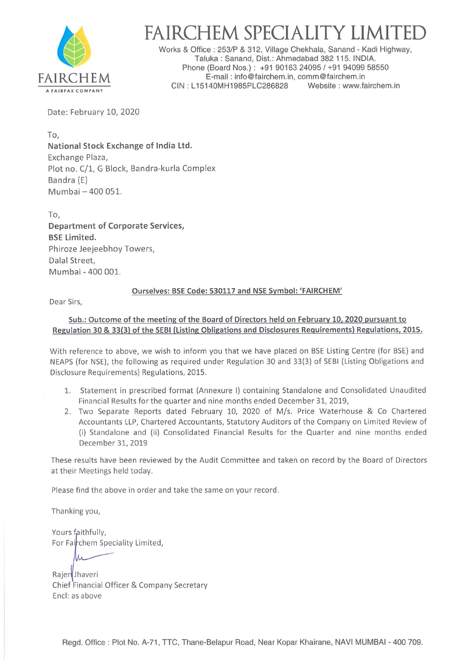

## FAIRCHEM SPECIALITY LIMITE

Works & Office :253/P & 312, Village Chekhala, Sanand - Kadi Highway, Taluka : Sanand, Dist.: Ahmedabad 382 115. INDIA. Phone (Board Nos.) : +91 90163 24095 / +91 94099 58550 FAIRCHEM.<br>CIN: L15140MH1985PLC286828 Website : www.fairchem.in CIN: L15140MH1985PLC286828

Date: February 10, 2020

To, National Stock Exchange of India Ltd. Exchange Plaza, Plot no. C/1, G Block, Bandra-kurla Complex Bandra (E) Mumbai - 400 051.

To, Department of Corporate Services, BSE Limited. Phiroze Jeejeebhoy Towers, Dalal Street, Mumbai - 400 001.

## Ourselves: BSE Code: 530117 and NSE Symbol: 'FAIRCHEM'

Dear Sirs,

## Sub.: Outcome of the meeting of the Board of Directors held on February 10,2020 pursuant to Regulation 30 & 33(3) of the SEBI (Listing Obligations and Disclosures Requirements) Regulations. 2015.

With reference to above, we wish to inform you that we have placed on BSE Listing Centre (for BSE) and NEAPS (for NSE), the following as required under Regulation 30 and 33(3) of SEBI (Listing Obligations and Disclosure Requirements) Regulations, 2015.

- 1. Statement in prescribed format (Annexure I) containing Standalone and Consolidated Unaudited Financial Results for the quarter and nine months ended December 31, 2019,
- 2. Two Separate Reports dated February 10, 2020 of M/s. Price Waterhouse & Co Chartered Accountants LLP, Chartered Accountants, Statutory Auditors of the Company on Limited Review of (i) Standalone and (ii) Consolidated Financial Results for the Quarter and nine months ended December 31, 2019

These results have been reviewed by the Audit Committee and taken on record by the Board of Directors at their Meetings held today.

Please find the above in order and take the same on your record.

Thanking you,

Yours faithfully, For Fairchem Speciality Limited,

Rajen Jhaveri Chief Financial Officer & Company Secretary End: as above